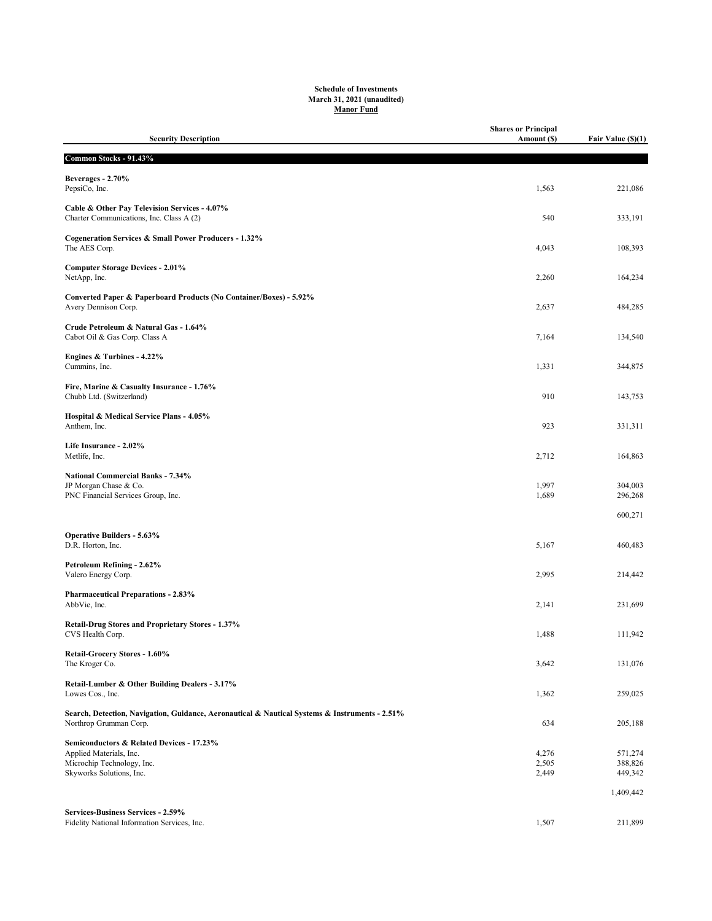## Schedule of Investments March 31, 2021 (unaudited) Manor Fund

| <b>Security Description</b>                                                                                              | <b>Shares or Principal</b><br>Amount (\$) | Fair Value (\$)(1) |
|--------------------------------------------------------------------------------------------------------------------------|-------------------------------------------|--------------------|
| Common Stocks - 91.43%                                                                                                   |                                           |                    |
| Beverages - 2.70%<br>PepsiCo, Inc.                                                                                       | 1,563                                     | 221,086            |
| Cable & Other Pay Television Services - 4.07%<br>Charter Communications, Inc. Class A (2)                                | 540                                       | 333,191            |
| Cogeneration Services & Small Power Producers - 1.32%<br>The AES Corp.                                                   | 4,043                                     | 108,393            |
| <b>Computer Storage Devices - 2.01%</b><br>NetApp, Inc.                                                                  | 2,260                                     | 164,234            |
| Converted Paper & Paperboard Products (No Container/Boxes) - 5.92%<br>Avery Dennison Corp.                               | 2,637                                     | 484,285            |
| Crude Petroleum & Natural Gas - 1.64%<br>Cabot Oil & Gas Corp. Class A                                                   | 7,164                                     | 134,540            |
| Engines & Turbines - 4.22%<br>Cummins, Inc.                                                                              | 1,331                                     | 344,875            |
| Fire, Marine & Casualty Insurance - 1.76%<br>Chubb Ltd. (Switzerland)                                                    | 910                                       | 143,753            |
| Hospital & Medical Service Plans - 4.05%<br>Anthem, Inc.                                                                 | 923                                       | 331,311            |
| Life Insurance - 2.02%<br>Metlife, Inc.                                                                                  | 2,712                                     | 164,863            |
| <b>National Commercial Banks - 7.34%</b><br>JP Morgan Chase & Co.<br>PNC Financial Services Group, Inc.                  | 1,997<br>1,689                            | 304,003<br>296,268 |
|                                                                                                                          |                                           | 600,271            |
| <b>Operative Builders - 5.63%</b><br>D.R. Horton, Inc.                                                                   | 5,167                                     | 460,483            |
| Petroleum Refining - 2.62%<br>Valero Energy Corp.                                                                        | 2,995                                     | 214,442            |
| <b>Pharmaceutical Preparations - 2.83%</b><br>AbbVie, Inc.                                                               | 2,141                                     | 231,699            |
| Retail-Drug Stores and Proprietary Stores - 1.37%<br>CVS Health Corp.                                                    | 1,488                                     | 111,942            |
| Retail-Grocery Stores - 1.60%<br>The Kroger Co.                                                                          | 3,642                                     | 131,076            |
| Retail-Lumber & Other Building Dealers - 3.17%<br>Lowes Cos., Inc.                                                       | 1,362                                     | 259,025            |
| Search, Detection, Navigation, Guidance, Aeronautical & Nautical Systems & Instruments - 2.51%<br>Northrop Grumman Corp. | 634                                       | 205,188            |
| Semiconductors & Related Devices - 17.23%                                                                                |                                           |                    |
| Applied Materials, Inc.<br>Microchip Technology, Inc.                                                                    | 4,276<br>2,505                            | 571,274<br>388,826 |
| Skyworks Solutions, Inc.                                                                                                 | 2,449                                     | 449,342            |
|                                                                                                                          |                                           | 1,409,442          |
| Services-Business Services - 2.59%<br>Fidelity National Information Services, Inc.                                       | 1,507                                     | 211,899            |